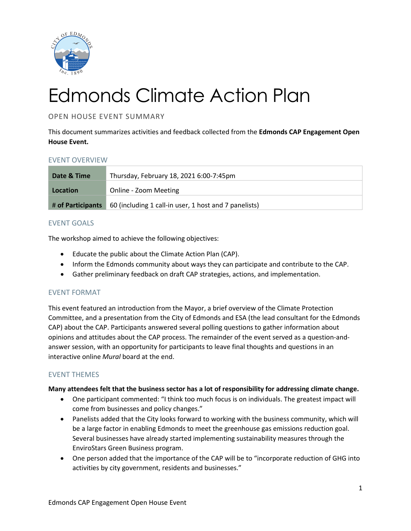

# Edmonds Climate Action Plan

OPEN HOUSE EVENT SUMMARY

This document summarizes activities and feedback collected from the **Edmonds CAP Engagement Open House Event.**

# EVENT OVERVIEW

| Date & Time       | Thursday, February 18, 2021 6:00-7:45pm               |
|-------------------|-------------------------------------------------------|
| Location          | Online - Zoom Meeting                                 |
| # of Participants | 60 (including 1 call-in user, 1 host and 7 panelists) |

# EVENT GOALS

The workshop aimed to achieve the following objectives:

- Educate the public about the Climate Action Plan (CAP).
- Inform the Edmonds community about ways they can participate and contribute to the CAP.
- Gather preliminary feedback on draft CAP strategies, actions, and implementation.

# EVENT FORMAT

This event featured an introduction from the Mayor, a brief overview of the Climate Protection Committee, and a presentation from the City of Edmonds and ESA (the lead consultant for the Edmonds CAP) about the CAP. Participants answered several polling questions to gather information about opinions and attitudes about the CAP process. The remainder of the event served as a question-andanswer session, with an opportunity for participants to leave final thoughts and questions in an interactive online *Mural* board at the end.

# EVENT THEMES

#### **Many attendees felt that the business sector has a lot of responsibility for addressing climate change.**

- One participant commented: "I think too much focus is on individuals. The greatest impact will come from businesses and policy changes."
- Panelists added that the City looks forward to working with the business community, which will be a large factor in enabling Edmonds to meet the greenhouse gas emissions reduction goal. Several businesses have already started implementing sustainability measures through the EnviroStars Green Business program.
- One person added that the importance of the CAP will be to "incorporate reduction of GHG into activities by city government, residents and businesses."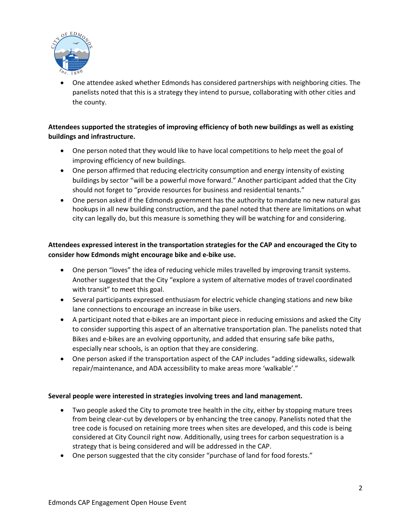

• One attendee asked whether Edmonds has considered partnerships with neighboring cities. The panelists noted that this is a strategy they intend to pursue, collaborating with other cities and the county.

# **Attendees supported the strategies of improving efficiency of both new buildings as well as existing buildings and infrastructure.**

- One person noted that they would like to have local competitions to help meet the goal of improving efficiency of new buildings.
- One person affirmed that reducing electricity consumption and energy intensity of existing buildings by sector "will be a powerful move forward." Another participant added that the City should not forget to "provide resources for business and residential tenants."
- One person asked if the Edmonds government has the authority to mandate no new natural gas hookups in all new building construction, and the panel noted that there are limitations on what city can legally do, but this measure is something they will be watching for and considering.

# **Attendees expressed interest in the transportation strategies for the CAP and encouraged the City to consider how Edmonds might encourage bike and e-bike use.**

- One person "loves" the idea of reducing vehicle miles travelled by improving transit systems. Another suggested that the City "explore a system of alternative modes of travel coordinated with transit" to meet this goal.
- Several participants expressed enthusiasm for electric vehicle changing stations and new bike lane connections to encourage an increase in bike users.
- A participant noted that e-bikes are an important piece in reducing emissions and asked the City to consider supporting this aspect of an alternative transportation plan. The panelists noted that Bikes and e-bikes are an evolving opportunity, and added that ensuring safe bike paths, especially near schools, is an option that they are considering.
- One person asked if the transportation aspect of the CAP includes "adding sidewalks, sidewalk repair/maintenance, and ADA accessibility to make areas more 'walkable'."

# **Several people were interested in strategies involving trees and land management.**

- Two people asked the City to promote tree health in the city, either by stopping mature trees from being clear-cut by developers or by enhancing the tree canopy. Panelists noted that the tree code is focused on retaining more trees when sites are developed, and this code is being considered at City Council right now. Additionally, using trees for carbon sequestration is a strategy that is being considered and will be addressed in the CAP.
- One person suggested that the city consider "purchase of land for food forests."